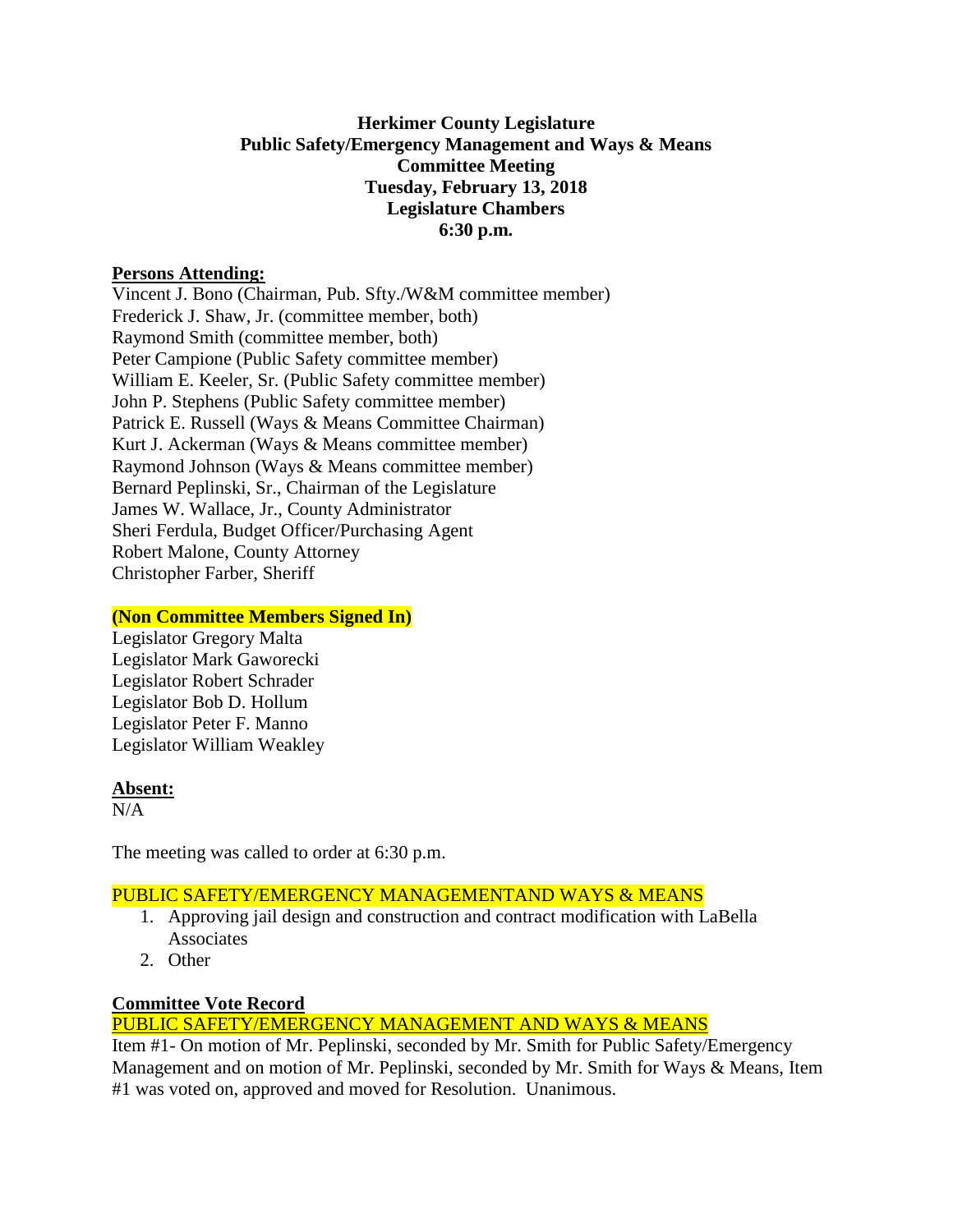# **Herkimer County Legislature Public Safety/Emergency Management and Ways & Means Committee Meeting Tuesday, February 13, 2018 Legislature Chambers 6:30 p.m.**

### **Persons Attending:**

Vincent J. Bono (Chairman, Pub. Sfty./W&M committee member) Frederick J. Shaw, Jr. (committee member, both) Raymond Smith (committee member, both) Peter Campione (Public Safety committee member) William E. Keeler, Sr. (Public Safety committee member) John P. Stephens (Public Safety committee member) Patrick E. Russell (Ways & Means Committee Chairman) Kurt J. Ackerman (Ways & Means committee member) Raymond Johnson (Ways & Means committee member) Bernard Peplinski, Sr., Chairman of the Legislature James W. Wallace, Jr., County Administrator Sheri Ferdula, Budget Officer/Purchasing Agent Robert Malone, County Attorney Christopher Farber, Sheriff

## **(Non Committee Members Signed In)**

Legislator Gregory Malta Legislator Mark Gaworecki Legislator Robert Schrader Legislator Bob D. Hollum Legislator Peter F. Manno Legislator William Weakley

#### **Absent:**

 $N/A$ 

The meeting was called to order at 6:30 p.m.

# PUBLIC SAFETY/EMERGENCY MANAGEMENTAND WAYS & MEANS

- 1. Approving jail design and construction and contract modification with LaBella Associates
- 2. Other

# **Committee Vote Record**

PUBLIC SAFETY/EMERGENCY MANAGEMENT AND WAYS & MEANS

Item #1- On motion of Mr. Peplinski, seconded by Mr. Smith for Public Safety/Emergency Management and on motion of Mr. Peplinski, seconded by Mr. Smith for Ways & Means, Item #1 was voted on, approved and moved for Resolution. Unanimous.